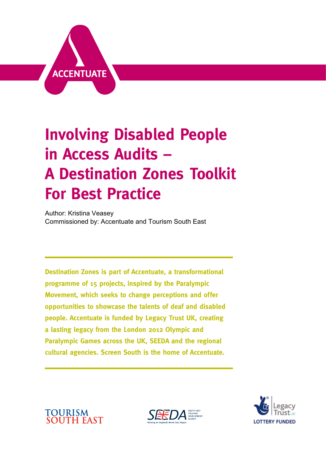

## **Involving Disabled People in Access Audits – A Destination Zones Toolkit For Best Practice**

*Author: Kristina Veasey Commissioned by: Accentuate and Tourism South East*

**Destination Zones is part of Accentuate, a transformational programme of 15 projects, inspired by the Paralympic Movement, which seeks to change perceptions and offer opportunities to showcase the talents of deaf and disabled people. Accentuate is funded by Legacy Trust UK, creating a lasting legacy from the London 2012 Olympic and Paralympic Games across the UK, SEEDA and the regional cultural agencies. Screen South is the home of Accentuate.**

**TOURISM<br>SOUTH EAST** 



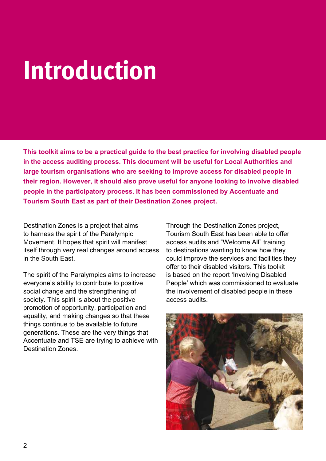## **Introduction**

*This toolkit aims to be a practical guide to the best practice for involving disabled people in the access auditing process. This document will be useful for Local Authorities and large tourism organisations who are seeking to improve access for disabled people in their region. However, it should also prove useful for anyone looking to involve disabled people in the participatory process. It has been commissioned by Accentuate and Tourism South East as part of their Destination Zones project.*

*Destination Zones is a project that aims to harness the spirit of the Paralympic Movement. It hopes that spirit will manifest itself through very real changes around access in the South East.*

*The spirit of the Paralympics aims to increase everyone's ability to contribute to positive social change and the strengthening of society. This spirit is about the positive promotion of opportunity, participation and equality, and making changes so that these things continue to be available to future generations. These are the very things that Accentuate and TSE are trying to achieve with Destination Zones.*

*Through the Destination Zones project, Tourism South East has been able to offer access audits and "Welcome All" training to destinations wanting to know how they could improve the services and facilities they offer to their disabled visitors. This toolkit is based on the report 'Involving Disabled People' which was commissioned to evaluate the involvement of disabled people in these access audits.* 

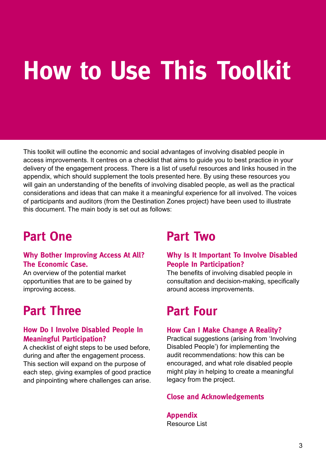# **How to Use This Toolkit**

*This toolkit will outline the economic and social advantages of involving disabled people in access improvements. It centres on a checklist that aims to guide you to best practice in your delivery of the engagement process. There is a list of useful resources and links housed in the appendix, which should supplement the tools presented here. By using these resources you*  will gain an understanding of the benefits of involving disabled people, as well as the practical *considerations and ideas that can make it a meaningful experience for all involved. The voices of participants and auditors (from the Destination Zones project) have been used to illustrate this document. The main body is set out as follows:*

## **Part One**

#### **Why Bother Improving Access At All? The Economic Case.**

*An overview of the potential market opportunities that are to be gained by improving access.* 

### **Part Three**

#### **How Do I Involve Disabled People In Meaningful Participation?**

*A checklist of eight steps to be used before, during and after the engagement process. This section will expand on the purpose of each step, giving examples of good practice and pinpointing where challenges can arise.*

### **Part Two**

#### **Why Is It Important To Involve Disabled People In Participation?**

*The benefits of involving disabled people in consultation and decision-making, specifically around access improvements.* 

### **Part Four**

#### **How Can I Make Change A Reality?**

*Practical suggestions (arising from 'Involving Disabled People') for implementing the audit recommendations: how this can be encouraged, and what role disabled people might play in helping to create a meaningful legacy from the project.*

#### **Close and Acknowledgements**

**Appendix** *Resource List*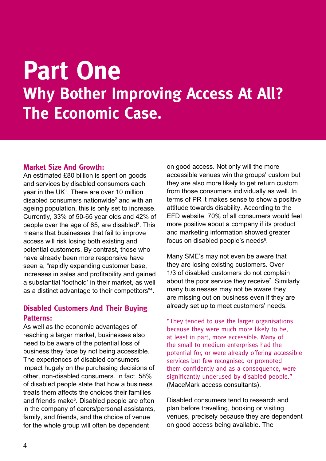## **Part One Why Bother Improving Access At All? The Economic Case.**

#### **Market Size And Growth:**

*An estimated £80 billion is spent on goods and services by disabled consumers each year in the UK1 . There are over 10 million disabled consumers nationwide2 and with an ageing population, this is only set to increase. Currently, 33% of 50-65 year olds and 42% of people over the age of 65, are disabled3 . This means that businesses that fail to improve access will risk losing both existing and potential customers. By contrast, those who have already been more responsive have seen a, "rapidly expanding customer base, increases in sales and profitability and gained a substantial 'foothold' in their market, as well as a distinct advantage to their competitors"4 .*

#### **Disabled Customers And Their Buying Patterns:**

*As well as the economic advantages of reaching a larger market, businesses also need to be aware of the potential loss of business they face by not being accessible. The experiences of disabled consumers impact hugely on the purchasing decisions of other, non-disabled consumers. In fact, 58% of disabled people state that how a business treats them affects the choices their families and friends make5 . Disabled people are often in the company of carers/personal assistants, family, and friends, and the choice of venue for the whole group will often be dependent* 

*on good access. Not only will the more accessible venues win the groups' custom but they are also more likely to get return custom from those consumers individually as well. In terms of PR it makes sense to show a positive attitude towards disability. According to the EFD website, 70% of all consumers would feel more positive about a company if its product and marketing information showed greater focus on disabled people's needs6 .* 

*Many SME's may not even be aware that they are losing existing customers. Over 1/3 of disabled customers do not complain about the poor service they receive7 . Similarly many businesses may not be aware they are missing out on business even if they are already set up to meet customers' needs.*

"They tended to use the larger organisations because they were much more likely to be, at least in part, more accessible. Many of the small to medium enterprises had the potential for, or were already offering accessible services but few recognised or promoted them confidently and as a consequence, were significantly underused by disabled people." *(MaceMark access consultants).*

*Disabled consumers tend to research and plan before travelling, booking or visiting venues, precisely because they are dependent on good access being available. The*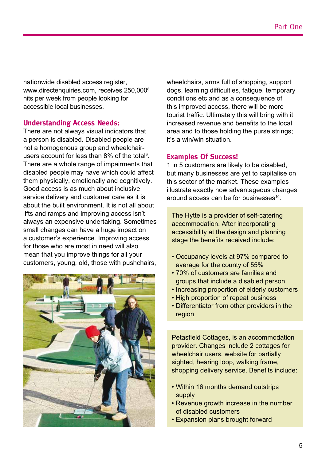*nationwide disabled access register, www.directenquiries.com, receives 250,0008 hits per week from people looking for accessible local businesses.*

#### **Understanding Access Needs:**

*There are not always visual indicators that a person is disabled. Disabled people are not a homogenous group and wheelchairusers account for less than 8% of the total9 . There are a whole range of impairments that disabled people may have which could affect them physically, emotionally and cognitively. Good access is as much about inclusive service delivery and customer care as it is about the built environment. It is not all about lifts and ramps and improving access isn't always an expensive undertaking. Sometimes small changes can have a huge impact on a customer's experience. Improving access for those who are most in need will also mean that you improve things for all your customers, young, old, those with pushchairs,* 



*wheelchairs, arms full of shopping, support dogs, learning difficulties, fatigue, temporary conditions etc and as a consequence of this improved access, there will be more tourist traffic. Ultimately this will bring with it increased revenue and benefits to the local area and to those holding the purse strings; it's a win/win situation.*

#### **Examples Of Success!**

*1 in 5 customers are likely to be disabled, but many businesses are yet to capitalise on this sector of the market. These examples illustrate exactly how advantageous changes around access can be for businesses10:* 

*The Hytte is a provider of self-catering accommodation. After incorporating accessibility at the design and planning stage the benefits received include:* 

- Occupancy levels at 97% compared to *average for the county of 55%*
- 70% of customers are families and *groups that include a disabled person*
- Increasing proportion of elderly customers
- High proportion of repeat business
- Differentiator from other providers in the *region*

*Petasfield Cottages, is an accommodation provider. Changes include 2 cottages for wheelchair users, website for partially sighted, hearing loop, walking frame, shopping delivery service. Benefits include:* 

- Within 16 months demand outstrips *supply*
- Revenue growth increase in the number *of disabled customers*
- Expansion plans brought forward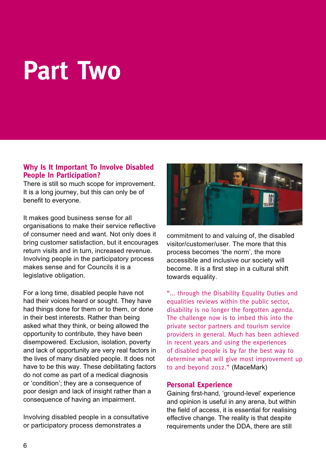## **Part Two**

#### **Why Is It Important To Involve Disabled People In Participation?**

*There is still so much scope for improvement. It is a long journey, but this can only be of benefit to everyone.* 

*It makes good business sense for all organisations to make their service reflective of consumer need and want. Not only does it bring customer satisfaction, but it encourages return visits and in turn, increased revenue. Involving people in the participatory process makes sense and for Councils it is a legislative obligation.* 

*For a long time, disabled people have not had their voices heard or sought. They have had things done for them or to them, or done in their best interests. Rather than being asked what they think, or being allowed the opportunity to contribute, they have been disempowered. Exclusion, isolation, poverty and lack of opportunity are very real factors in the lives of many disabled people. It does not have to be this way. These debilitating factors do not come as part of a medical diagnosis or 'condition'; they are a consequence of poor design and lack of insight rather than a consequence of having an impairment.*

*Involving disabled people in a consultative or participatory process demonstrates a* 



*commitment to and valuing of, the disabled visitor/customer/user. The more that this process becomes 'the norm', the more accessible and inclusive our society will become. It is a first step in a cultural shift towards equality.*

"... through the Disability Equality Duties and equalities reviews within the public sector, disability is no longer the forgotten agenda. The challenge now is to imbed this into the private sector partners and tourism service providers in general. Much has been achieved in recent years and using the experiences of disabled people is by far the best way to determine what will give most improvement up to and beyond 2012." *(MaceMark)*

#### **Personal Experience**

*Gaining first-hand, 'ground-level' experience and opinion is useful in any arena, but within the field of access, it is essential for realising effective change. The reality is that despite requirements under the DDA, there are still*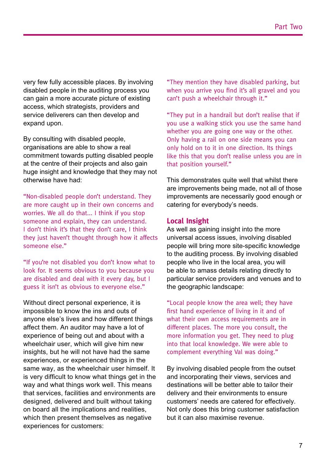*very few fully accessible places. By involving disabled people in the auditing process you can gain a more accurate picture of existing access, which strategists, providers and service deliverers can then develop and expand upon.*

*By consulting with disabled people, organisations are able to show a real commitment towards putting disabled people at the centre of their projects and also gain huge insight and knowledge that they may not otherwise have had:*

"Non-disabled people don't understand. They are more caught up in their own concerns and worries. We all do that... I think if you stop someone and explain, they can understand. I don't think it's that they don't care, I think they just haven't thought through how it affects someone else."

"If you're not disabled you don't know what to look for. It seems obvious to you because you are disabled and deal with it every day, but I guess it isn't as obvious to everyone else."

*Without direct personal experience, it is impossible to know the ins and outs of anyone else's lives and how different things affect them. An auditor may have a lot of experience of being out and about with a wheelchair user, which will give him new insights, but he will not have had the same experiences, or experienced things in the same way, as the wheelchair user himself. It is very difficult to know what things get in the way and what things work well. This means that services, facilities and environments are designed, delivered and built without taking on board all the implications and realities, which then present themselves as negative experiences for customers:*

"They mention they have disabled parking, but when you arrive you find it's all gravel and you can't push a wheelchair through it."

"They put in a handrail but don't realise that if you use a walking stick you use the same hand whether you are going one way or the other. Only having a rail on one side means you can only hold on to it in one direction. Its things like this that you don't realise unless you are in that position yourself."

*This demonstrates quite well that whilst there are improvements being made, not all of those improvements are necessarily good enough or catering for everybody's needs.*

#### **Local Insight**

*As well as gaining insight into the more universal access issues, involving disabled people will bring more site-specific knowledge to the auditing process. By involving disabled people who live in the local area, you will be able to amass details relating directly to particular service providers and venues and to the geographic landscape:*

"Local people know the area well; they have first hand experience of living in it and of what their own access requirements are in different places. The more you consult, the more information you get. They need to plug into that local knowledge. We were able to complement everything Val was doing."

*By involving disabled people from the outset and incorporating their views, services and destinations will be better able to tailor their delivery and their environments to ensure customers' needs are catered for effectively. Not only does this bring customer satisfaction but it can also maximise revenue.*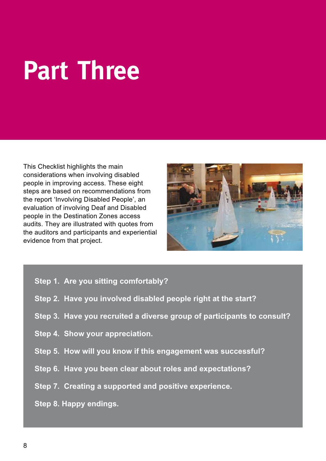# **Part Three**

*This Checklist highlights the main considerations when involving disabled people in improving access. These eight steps are based on recommendations from the report 'Involving Disabled People', an evaluation of involving Deaf and Disabled people in the Destination Zones access audits. They are illustrated with quotes from the auditors and participants and experiential evidence from that project.* 



- *Step 1. Are you sitting comfortably?*
- *Step 2. Have you involved disabled people right at the start?*
- *Step 3. Have you recruited a diverse group of participants to consult?*
- *Step 4. Show your appreciation.*
- *Step 5. How will you know if this engagement was successful?*
- *Step 6. Have you been clear about roles and expectations?*
- *Step 7. Creating a supported and positive experience.*
- *Step 8. Happy endings.*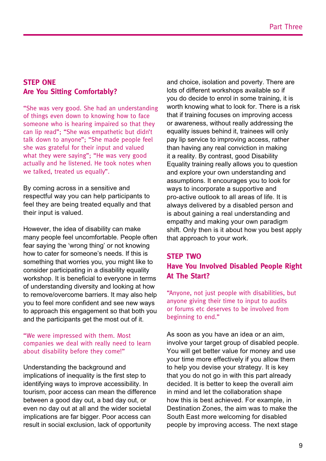#### **Step One Are You Sitting Comfortably?**

"She was very good. She had an understanding of things even down to knowing how to face someone who is hearing impaired so that they can lip read"; "She was empathetic but didn't talk down to anyone"; "She made people feel she was grateful for their input and valued what they were saying"; "He was very good actually and he listened. He took notes when we talked, treated us equally".

*By coming across in a sensitive and respectful way you can help participants to feel they are being treated equally and that their input is valued.*

*However, the idea of disability can make many people feel uncomfortable. People often fear saying the 'wrong thing' or not knowing how to cater for someone's needs. If this is something that worries you, you might like to consider participating in a disability equality workshop. It is beneficial to everyone in terms of understanding diversity and looking at how to remove/overcome barriers. It may also help you to feel more confident and see new ways to approach this engagement so that both you and the participants get the most out of it.*

#### "We were impressed with them. Most companies we deal with really need to learn about disability before they come!"

*Understanding the background and implications of inequality is the first step to identifying ways to improve accessibility. In tourism, poor access can mean the difference between a good day out, a bad day out, or even no day out at all and the wider societal implications are far bigger. Poor access can result in social exclusion, lack of opportunity* 

*and choice, isolation and poverty. There are lots of different workshops available so if you do decide to enrol in some training, it is worth knowing what to look for. There is a risk that if training focuses on improving access or awareness, without really addressing the equality issues behind it, trainees will only pay lip service to improving access, rather than having any real conviction in making it a reality. By contrast, good Disability Equality training really allows you to question and explore your own understanding and assumptions. It encourages you to look for ways to incorporate a supportive and pro-active outlook to all areas of life. It is always delivered by a disabled person and is about gaining a real understanding and empathy and making your own paradigm shift. Only then is it about how you best apply that approach to your work.*

#### **Step Two Have You Involved Disabled People Right At The Start?**

"Anyone, not just people with disabilities, but anyone giving their time to input to audits or forums etc deserves to be involved from beginning to end."

*As soon as you have an idea or an aim, involve your target group of disabled people. You will get better value for money and use your time more effectively if you allow them to help you devise your strategy. It is key that you do not go in with this part already decided. It is better to keep the overall aim in mind and let the collaboration shape how this is best achieved. For example, in Destination Zones, the aim was to make the South East more welcoming for disabled people by improving access. The next stage*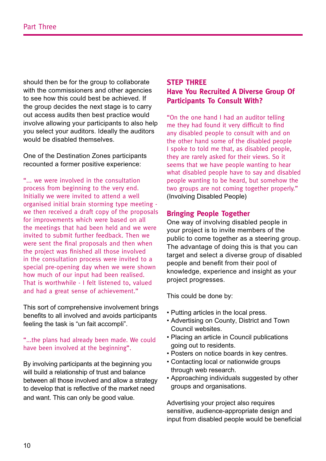*should then be for the group to collaborate with the commissioners and other agencies to see how this could best be achieved. If the group decides the next stage is to carry out access audits then best practice would involve allowing your participants to also help you select your auditors. Ideally the auditors would be disabled themselves.*

*One of the Destination Zones participants recounted a former positive experience:* 

"... we were involved in the consultation process from beginning to the very end. Initially we were invited to attend a well organised initial brain storming type meeting we then received a draft copy of the proposals for improvements which were based on all the meetings that had been held and we were invited to submit further feedback. Then we were sent the final proposals and then when the project was finished all those involved in the consultation process were invited to a special pre-opening day when we were shown how much of our input had been realised. That is worthwhile - I felt listened to, valued and had a great sense of achievement."

*This sort of comprehensive involvement brings benefits to all involved and avoids participants feeling the task is "un fait accompli".*

#### "...the plans had already been made. We could have been involved at the beginning".

*By involving participants at the beginning you will build a relationship of trust and balance between all those involved and allow a strategy to develop that is reflective of the market need and want. This can only be good value.*

#### **Step Three Have You Recruited A Diverse Group Of Participants To Consult With?**

"On the one hand I had an auditor telling me they had found it very difficult to find any disabled people to consult with and on the other hand some of the disabled people I spoke to told me that, as disabled people, they are rarely asked for their views. So it seems that we have people wanting to hear what disabled people have to say and disabled people wanting to be heard, but somehow the two groups are not coming together properly." *(Involving Disabled People)*

#### **Bringing People Together**

*One way of involving disabled people in your project is to invite members of the public to come together as a steering group. The advantage of doing this is that you can target and select a diverse group of disabled people and benefit from their pool of knowledge, experience and insight as your project progresses.*

*This could be done by:*

- Putting articles in the local press.
- Advertising on County, District and Town *Council websites.*
- Placing an article in Council publications *going out to residents.*
- Posters on notice boards in key centres.
- Contacting local or nationwide groups *through web research.*
- Approaching individuals suggested by other *groups and organisations.*

*Advertising your project also requires sensitive, audience-appropriate design and input from disabled people would be beneficial*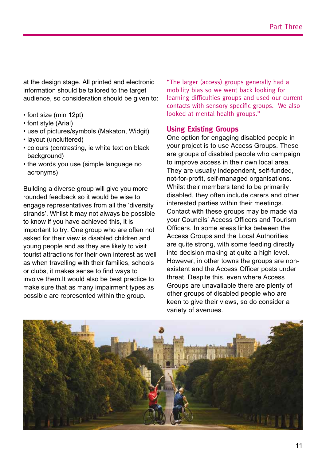*at the design stage. All printed and electronic information should be tailored to the target audience, so consideration should be given to:*

- font size (min 12pt)
- font style (Arial)
- use of pictures/symbols (Makaton, Widgit)
- layout (uncluttered)
- colours (contrasting, ie white text on black *background)*
- the words you use (simple language no *acronyms)*

*Building a diverse group will give you more rounded feedback so it would be wise to engage representatives from all the 'diversity strands'. Whilst it may not always be possible to know if you have achieved this, it is important to try. One group who are often not asked for their view is disabled children and young people and as they are likely to visit tourist attractions for their own interest as well as when travelling with their families, schools or clubs, it makes sense to find ways to involve them.It would also be best practice to make sure that as many impairment types as possible are represented within the group.* 

"The larger (access) groups generally had a mobility bias so we went back looking for learning difficulties groups and used our current contacts with sensory specific groups. We also looked at mental health groups."

#### **Using Existing Groups**

*One option for engaging disabled people in your project is to use Access Groups. These are groups of disabled people who campaign to improve access in their own local area. They are usually independent, self-funded, not-for-profit, self-managed organisations. Whilst their members tend to be primarily disabled, they often include carers and other interested parties within their meetings. Contact with these groups may be made via your Councils' Access Officers and Tourism Officers. In some areas links between the Access Groups and the Local Authorities are quite strong, with some feeding directly into decision making at quite a high level. However, in other towns the groups are nonexistent and the Access Officer posts under threat. Despite this, even where Access Groups are unavailable there are plenty of other groups of disabled people who are keen to give their views, so do consider a variety of avenues.*

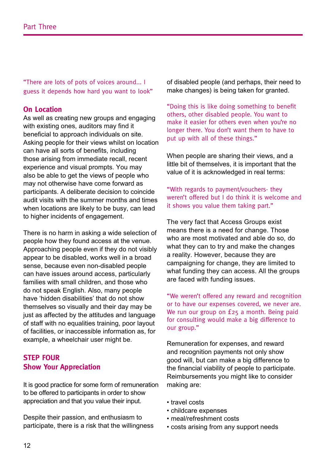"There are lots of pots of voices around... I guess it depends how hard you want to look"

#### **On Location**

*As well as creating new groups and engaging with existing ones, auditors may find it beneficial to approach individuals on site. Asking people for their views whilst on location can have all sorts of benefits, including those arising from immediate recall, recent experience and visual prompts. You may also be able to get the views of people who may not otherwise have come forward as participants. A deliberate decision to coincide audit visits with the summer months and times when locations are likely to be busy, can lead to higher incidents of engagement.*

*There is no harm in asking a wide selection of people how they found access at the venue. Approaching people even if they do not visibly appear to be disabled, works well in a broad sense, because even non-disabled people can have issues around access, particularly families with small children, and those who do not speak English. Also, many people have 'hidden disabilities' that do not show themselves so visually and their day may be just as affected by the attitudes and language of staff with no equalities training, poor layout of facilities, or inaccessible information as, for example, a wheelchair user might be.* 

#### **Step FOUR Show Your Appreciation**

*It is good practice for some form of remuneration to be offered to participants in order to show appreciation and that you value their input.* 

*Despite their passion, and enthusiasm to participate, there is a risk that the willingness*  *of disabled people (and perhaps, their need to make changes) is being taken for granted.*

"Doing this is like doing something to benefit others, other disabled people. You want to make it easier for others even when you're no longer there. You don't want them to have to put up with all of these things."

*When people are sharing their views, and a little bit of themselves, it is important that the value of it is acknowledged in real terms:* 

#### "With regards to payment/vouchers- they weren't offered but I do think it is welcome and it shows you value them taking part."

*The very fact that Access Groups exist means there is a need for change. Those who are most motivated and able do so, do what they can to try and make the changes a reality. However, because they are campaigning for change, they are limited to what funding they can access. All the groups are faced with funding issues.*

"We weren't offered any reward and recognition or to have our expenses covered, we never are. We run our group on £25 a month. Being paid for consulting would make a big difference to our group."

*Remuneration for expenses, and reward and recognition payments not only show good will, but can make a big difference to the financial viability of people to participate. Reimbursements you might like to consider making are:* 

- travel costs
- childcare expenses
- meal/refreshment costs
- costs arising from any support needs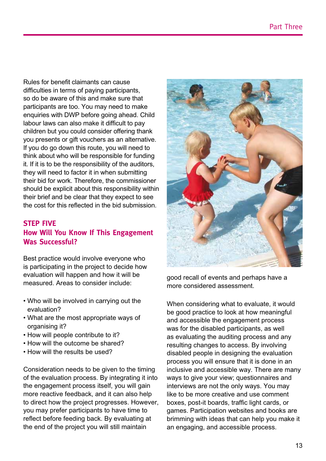*Rules for benefit claimants can cause difficulties in terms of paying participants, so do be aware of this and make sure that participants are too. You may need to make enquiries with DWP before going ahead. Child labour laws can also make it difficult to pay children but you could consider offering thank you presents or gift vouchers as an alternative. If you do go down this route, you will need to think about who will be responsible for funding it. If it is to be the responsibility of the auditors, they will need to factor it in when submitting their bid for work. Therefore, the commissioner should be explicit about this responsibility within their brief and be clear that they expect to see the cost for this reflected in the bid submission.*

#### **Step FIVE How Will You Know If This Engagement Was Successful?**

*Best practice would involve everyone who is participating in the project to decide how evaluation will happen and how it will be measured. Areas to consider include:* 

- Who will be involved in carrying out the *evaluation?*
- What are the most appropriate ways of *organising it?*
- How will people contribute to it?
- How will the outcome be shared?
- How will the results be used?

*Consideration needs to be given to the timing of the evaluation process. By integrating it into the engagement process itself, you will gain more reactive feedback, and it can also help to direct how the project progresses. However, you may prefer participants to have time to reflect before feeding back. By evaluating at the end of the project you will still maintain* 



*good recall of events and perhaps have a more considered assessment.*

*When considering what to evaluate, it would be good practice to look at how meaningful and accessible the engagement process was for the disabled participants, as well as evaluating the auditing process and any resulting changes to access. By involving disabled people in designing the evaluation process you will ensure that it is done in an inclusive and accessible way. There are many ways to give your view; questionnaires and interviews are not the only ways. You may like to be more creative and use comment boxes, post-it boards, traffic light cards, or games. Participation websites and books are brimming with ideas that can help you make it an engaging, and accessible process.*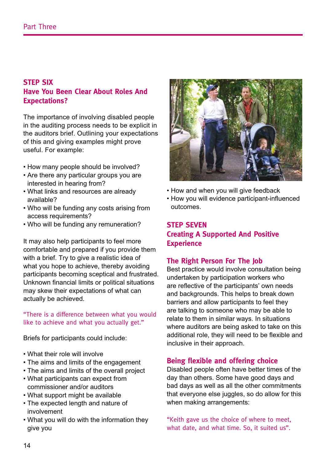#### **Step SIX Have You Been Clear About Roles And Expectations?**

*The importance of involving disabled people in the auditing process needs to be explicit in the auditors brief. Outlining your expectations of this and giving examples might prove useful. For example:*

- How many people should be involved?
- Are there any particular groups you are *interested in hearing from?*
- What links and resources are already *available?*
- Who will be funding any costs arising from *access requirements?*
- Who will be funding any remuneration?

*It may also help participants to feel more comfortable and prepared if you provide them with a brief. Try to give a realistic idea of what you hope to achieve, thereby avoiding participants becoming sceptical and frustrated. Unknown financial limits or political situations may skew their expectations of what can actually be achieved.*

"There is a difference between what you would like to achieve and what you actually get."

*Briefs for participants could include:*

- What their role will involve
- The aims and limits of the engagement
- The aims and limits of the overall project
- What participants can expect from *commissioner and/or auditors*
- What support might be available
- The expected length and nature of *involvement*
- What you will do with the information they *give you*



- How and when you will give feedback
- How you will evidence participant-influenced *outcomes.*

#### **Step SEVEN Creating A Supported And Positive Experience**

#### **The Right Person For The Job**

*Best practice would involve consultation being undertaken by participation workers who are reflective of the participants' own needs and backgrounds. This helps to break down barriers and allow participants to feel they are talking to someone who may be able to relate to them in similar ways. In situations where auditors are being asked to take on this additional role, they will need to be flexible and inclusive in their approach.*

#### **Being flexible and offering choice**

*Disabled people often have better times of the day than others. Some have good days and bad days as well as all the other commitments that everyone else juggles, so do allow for this when making arrangements:* 

"Keith gave us the choice of where to meet, what date, and what time. So, it suited us".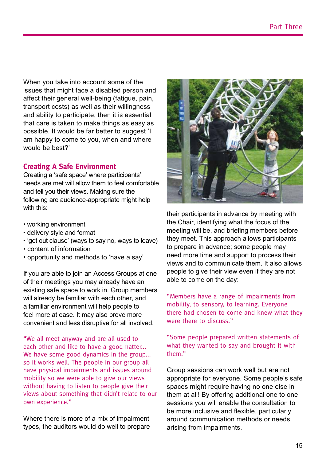*When you take into account some of the issues that might face a disabled person and affect their general well-being (fatigue, pain, transport costs) as well as their willingness and ability to participate, then it is essential that care is taken to make things as easy as possible. It would be far better to suggest 'I am happy to come to you, when and where would be best?'*

#### **Creating A Safe Environment**

*Creating a 'safe space' where participants' needs are met will allow them to feel comfortable and tell you their views. Making sure the following are audience-appropriate might help with this:*

- working environment
- delivery style and format
- 'get out clause' (ways to say no, ways to leave)
- content of information
- opportunity and methods to 'have a say'

*If you are able to join an Access Groups at one of their meetings you may already have an existing safe space to work in. Group members will already be familiar with each other, and a familiar environment will help people to feel more at ease. It may also prove more convenient and less disruptive for all involved.*

"We all meet anyway and are all used to each other and like to have a good natter... We have some good dynamics in the group... so it works well. The people in our group all have physical impairments and issues around mobility so we were able to give our views without having to listen to people give their views about something that didn't relate to our own experience."

*Where there is more of a mix of impairment types, the auditors would do well to prepare* 



*their participants in advance by meeting with the Chair, identifying what the focus of the meeting will be, and briefing members before they meet. This approach allows participants to prepare in advance; some people may need more time and support to process their views and to communicate them. It also allows people to give their view even if they are not able to come on the day:*

"Members have a range of impairments from mobility, to sensory, to learning. Everyone there had chosen to come and knew what they were there to discuss."

"Some people prepared written statements of what they wanted to say and brought it with them."

*Group sessions can work well but are not appropriate for everyone. Some people's safe spaces might require having no one else in them at all! By offering additional one to one sessions you will enable the consultation to be more inclusive and flexible, particularly around communication methods or needs arising from impairments.*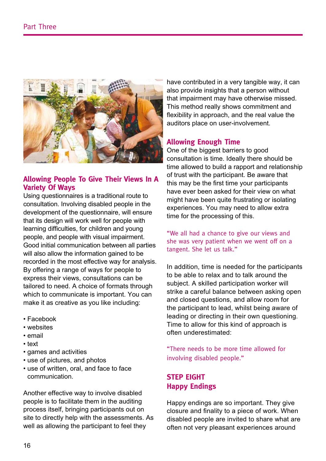

#### **Allowing People To Give Their Views In A Variety Of Ways**

*Using questionnaires is a traditional route to consultation. Involving disabled people in the development of the questionnaire, will ensure that its design will work well for people with learning difficulties, for children and young people, and people with visual impairment. Good initial communication between all parties will also allow the information gained to be recorded in the most effective way for analysis. By offering a range of ways for people to express their views, consultations can be tailored to need. A choice of formats through which to communicate is important. You can make it as creative as you like including:*

- Facebook
- websites
- email
- text
- games and activities
- use of pictures, and photos
- use of written, oral, and face to face *communication.*

*Another effective way to involve disabled people is to facilitate them in the auditing process itself, bringing participants out on site to directly help with the assessments. As well as allowing the participant to feel they* 

*have contributed in a very tangible way, it can also provide insights that a person without that impairment may have otherwise missed. This method really shows commitment and flexibility in approach, and the real value the auditors place on user-involvement.*

#### **Allowing Enough Time**

*One of the biggest barriers to good consultation is time. Ideally there should be time allowed to build a rapport and relationship of trust with the participant. Be aware that this may be the first time your participants have ever been asked for their view on what might have been quite frustrating or isolating experiences. You may need to allow extra time for the processing of this.*

"We all had a chance to give our views and she was very patient when we went off on a tangent. She let us talk."

*In addition, time is needed for the participants to be able to relax and to talk around the subject. A skilled participation worker will strike a careful balance between asking open and closed questions, and allow room for the participant to lead, whilst being aware of leading or directing in their own questioning. Time to allow for this kind of approach is often underestimated:*

"There needs to be more time allowed for involving disabled people."

#### **Step EIGHT Happy Endings**

*Happy endings are so important. They give closure and finality to a piece of work. When disabled people are invited to share what are often not very pleasant experiences around*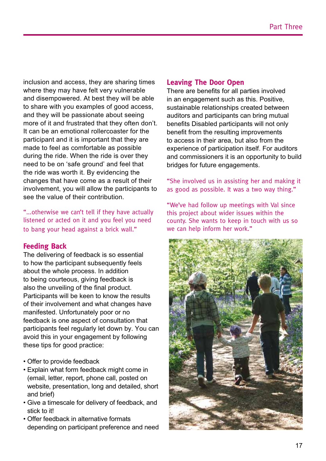*inclusion and access, they are sharing times where they may have felt very vulnerable and disempowered. At best they will be able to share with you examples of good access, and they will be passionate about seeing more of it and frustrated that they often don't. It can be an emotional rollercoaster for the participant and it is important that they are made to feel as comfortable as possible during the ride. When the ride is over they need to be on 'safe ground' and feel that the ride was worth it. By evidencing the changes that have come as a result of their involvement, you will allow the participants to see the value of their contribution.*

"...otherwise we can't tell if they have actually listened or acted on it and you feel you need to bang your head against a brick wall."

#### **Feeding Back**

*The delivering of feedback is so essential to how the participant subsequently feels about the whole process. In addition to being courteous, giving feedback is also the unveiling of the final product. Participants will be keen to know the results of their involvement and what changes have manifested. Unfortunately poor or no feedback is one aspect of consultation that participants feel regularly let down by. You can avoid this in your engagement by following these tips for good practice:*

- Offer to provide feedback
- Explain what form feedback might come in *(email, letter, report, phone call, posted on website, presentation, long and detailed, short and brief)*
- Give a timescale for delivery of feedback, and *stick to it!*
- Offer feedback in alternative formats *depending on participant preference and need*

#### **Leaving The Door Open**

*There are benefits for all parties involved in an engagement such as this. Positive, sustainable relationships created between auditors and participants can bring mutual benefits Disabled participants will not only benefit from the resulting improvements to access in their area, but also from the experience of participation itself. For auditors and commissioners it is an opportunity to build bridges for future engagements.*

"She involved us in assisting her and making it as good as possible. It was a two way thing."

"We've had follow up meetings with Val since this project about wider issues within the county. She wants to keep in touch with us so we can help inform her work."

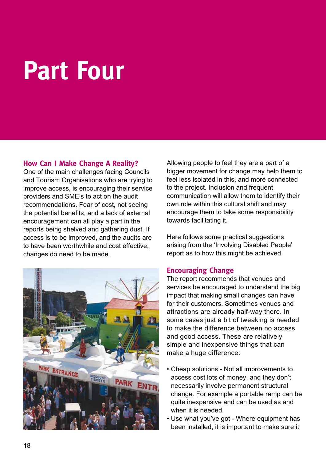## **Part Four**

#### **How Can I Make Change A Reality?**

*One of the main challenges facing Councils and Tourism Organisations who are trying to improve access, is encouraging their service providers and SME's to act on the audit recommendations. Fear of cost, not seeing the potential benefits, and a lack of external encouragement can all play a part in the reports being shelved and gathering dust. If access is to be improved, and the audits are to have been worthwhile and cost effective, changes do need to be made.* 



*Allowing people to feel they are a part of a bigger movement for change may help them to feel less isolated in this, and more connected to the project. Inclusion and frequent communication will allow them to identify their own role within this cultural shift and may encourage them to take some responsibility towards facilitating it.*

*Here follows some practical suggestions arising from the 'Involving Disabled People' report as to how this might be achieved.*

#### **Encouraging Change**

*The report recommends that venues and services be encouraged to understand the big impact that making small changes can have for their customers. Sometimes venues and attractions are already half-way there. In some cases just a bit of tweaking is needed to make the difference between no access and good access. These are relatively simple and inexpensive things that can make a huge difference:*

- Cheap solutions Not all improvements to *access cost lots of money, and they don't necessarily involve permanent structural change. For example a portable ramp can be quite inexpensive and can be used as and when it is needed.*
- Use what you've got Where equipment has *been installed, it is important to make sure it*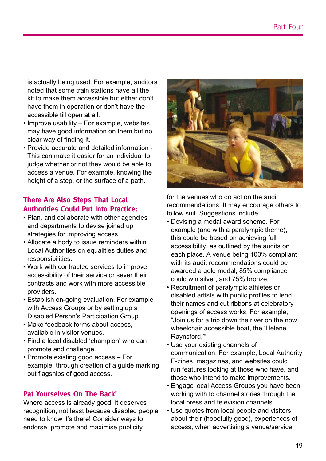*is actually being used. For example, auditors noted that some train stations have all the kit to make them accessible but either don't have them in operation or don't have the accessible till open at all.* 

- Improve usability For example, websites *may have good information on them but no clear way of finding it.*
- Provide accurate and detailed information *This can make it easier for an individual to judge whether or not they would be able to access a venue. For example, knowing the height of a step, or the surface of a path.*

#### **There Are Also Steps That Local Authorities Could Put Into Practice:**

- Plan, and collaborate with other agencies *and departments to devise joined up strategies for improving access.*
- Allocate a body to issue reminders within *Local Authorities on equalities duties and responsibilities.*
- Work with contracted services to improve *accessibility of their service or sever their contracts and work with more accessible providers.*
- Establish on-going evaluation. For example *with Access Groups or by setting up a Disabled Person's Participation Group.*
- Make feedback forms about access, *available in visitor venues.*
- Find a local disabled 'champion' who can *promote and challenge.*
- Promote existing good access For *example, through creation of a guide marking out flagships of good access.*

#### **Pat Yourselves On The Back!**

*Where access is already good, it deserves recognition, not least because disabled people need to know it's there! Consider ways to endorse, promote and maximise publicity* 



*for the venues who do act on the audit recommendations. It may encourage others to follow suit. Suggestions include:*

- Devising a medal award scheme. For *example (and with a paralympic theme), this could be based on achieving full accessibility, as outlined by the audits on each place. A venue being 100% compliant with its audit recommendations could be awarded a gold medal, 85% compliance*  could win silver, and 75% bronze.
- Recruitment of paralympic athletes or *disabled artists with public profiles to lend their names and cut ribbons at celebratory openings of access works. For example, "Join us for a trip down the river on the now wheelchair accessible boat, the 'Helene Raynsford.'"*
- Use your existing channels of *communication. For example, Local Authority*  E-zines, magazines, and websites could *run features looking at those who have, and those who intend to make improvements.*
- Engage local Access Groups you have been *working with to channel stories through the local press and television channels.*
- Use quotes from local people and visitors *about their (hopefully good), experiences of access, when advertising a venue/service.*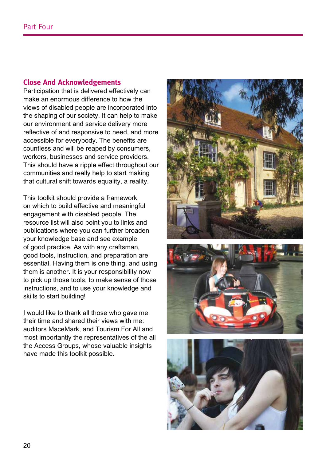#### **Close And Acknowledgements**

*Participation that is delivered effectively can make an enormous difference to how the views of disabled people are incorporated into the shaping of our society. It can help to make our environment and service delivery more reflective of and responsive to need, and more accessible for everybody. The benefits are countless and will be reaped by consumers, workers, businesses and service providers. This should have a ripple effect throughout our communities and really help to start making that cultural shift towards equality, a reality.* 

*This toolkit should provide a framework on which to build effective and meaningful engagement with disabled people. The resource list will also point you to links and publications where you can further broaden your knowledge base and see example of good practice. As with any craftsman, good tools, instruction, and preparation are essential. Having them is one thing, and using them is another. It is your responsibility now to pick up those tools, to make sense of those instructions, and to use your knowledge and skills to start building!*

*I would like to thank all those who gave me their time and shared their views with me: auditors MaceMark, and Tourism For All and most importantly the representatives of the all the Access Groups, whose valuable insights have made this toolkit possible.*





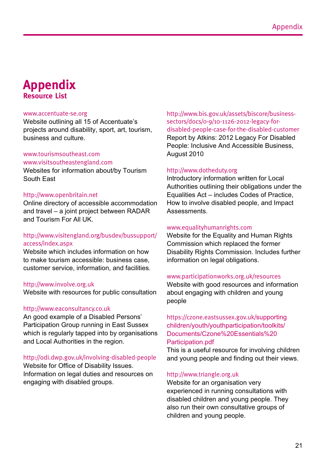### **Appendix Resource List**

#### www.accentuate-se.org

*Website outlining all 15 of Accentuate's projects around disability, sport, art, tourism, business and culture.* 

#### www.tourismsoutheast.com

#### www.visitsoutheastengland.com

*Websites for information about/by Tourism South East*

#### http://www.openbritain.net

*Online directory of accessible accommodation*  and travel – a joint project between RADAR *and Tourism For All UK.*

#### http://www.visitengland.org/busdev/bussupport/ access/index.aspx

*Website which includes information on how to make tourism accessible: business case, customer service, information, and facilities.*

#### http://www.involve.org.uk

*Website with resources for public consultation*

#### http://www.eaconsultancy.co.uk

*An good example of a Disabled Persons' Participation Group running in East Sussex which is regularly tapped into by organisations and Local Authorities in the region.*

#### http://odi.dwp.gov.uk/involving-disabled-people

*Website for Office of Disability Issues. Information on legal duties and resources on engaging with disabled groups.*

http://www.bis.gov.uk/assets/biscore/businesssectors/docs/0-9/10-1126-2012-legacy-fordisabled-people-case-for-the-disabled-customer *Report by Atkins: 2012 Legacy For Disabled People: Inclusive And Accessible Business, August 2010*

#### http://www.dotheduty.org

*Introductory information written for Local Authorities outlining their obligations under the*  Equalities Act – includes Codes of Practice, *How to involve disabled people, and Impact Assessments.*

#### www.equalityhumanrights.com

*Website for the Equality and Human Rights Commission which replaced the former Disability Rights Commission. Includes further information on legal obligations.*

#### www.participationworks.org.uk/resources

*Website with good resources and information about engaging with children and young people*

#### https://czone.eastsussex.gov.uk/*supporting children/youth/youthparticipation/toolkits/* Documents/Czone%20Essentials%20 *Participation.pdf*

*This is a useful resource for involving children and young people and finding out their views.*

#### http://www.triangle.org.uk

*Website for an organisation very experienced in running consultations with disabled children and young people. They also run their own consultative groups of children and young people.*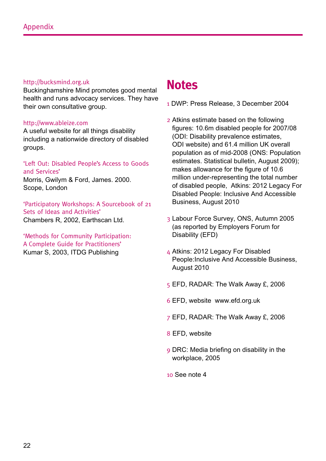#### http://bucksmind.org.uk

*Buckinghamshire Mind promotes good mental health and runs advocacy services. They have their own consultative group.*

#### http://www.ableize.com

*A useful website for all things disability including a nationwide directory of disabled groups.*

'Left Out: Disabled People's Access to Goods and Services'

*Morris, Gwilym & Ford, James. 2000. Scope, London*

'Participatory Workshops: A Sourcebook of 21 Sets of Ideas and Activities' *Chambers R, 2002, Earthscan Ltd.*

'Methods for Community Participation: A Complete Guide for Practitioners' *Kumar S, 2003, ITDG Publishing*

### **Notes**

- 1 *DWP: Press Release, 3 December 2004*
- 2 *Atkins estimate based on the following figures: 10.6m disabled people for 2007/08 (ODI: Disability prevalence estimates, ODI website) and 61.4 million UK overall population as of mid-2008 (ONS: Population estimates. Statistical bulletin, August 2009); makes allowance for the figure of 10.6 million under-representing the total number of disabled people, Atkins: 2012 Legacy For Disabled People: Inclusive And Accessible Business, August 2010*
- 3 *Labour Force Survey, ONS, Autumn 2005 (as reported by Employers Forum for Disability (EFD)*
- 4 *Atkins: 2012 Legacy For Disabled People:Inclusive And Accessible Business, August 2010*
- 5 *EFD, RADAR: The Walk Away £, 2006*
- 6 *EFD, website www.efd.org.uk*
- 7 *EFD, RADAR: The Walk Away £, 2006*
- 8 *EFD, website*
- 9 *DRC: Media briefing on disability in the workplace, 2005*
- 10 *See note 4*